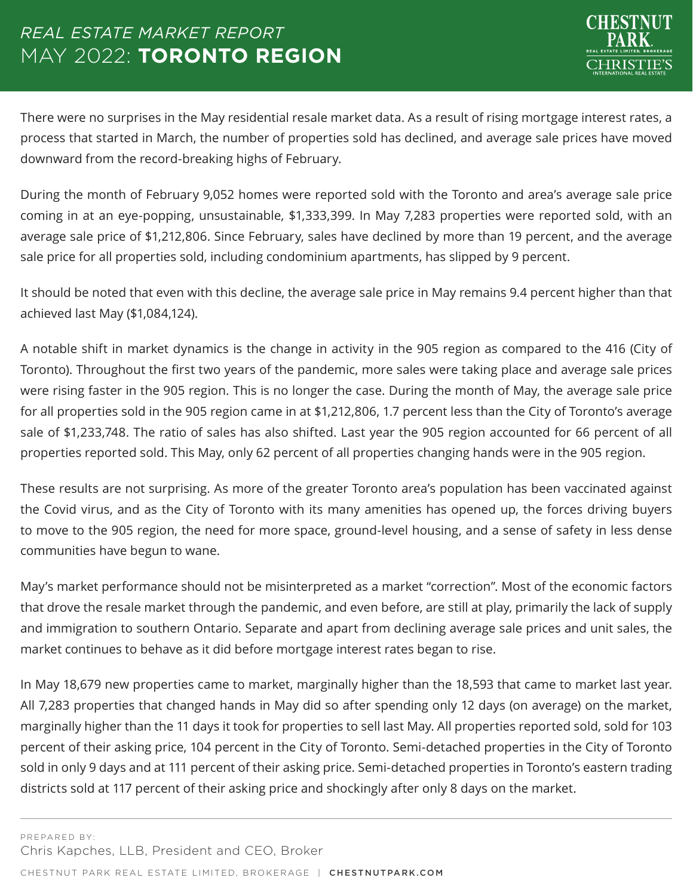## *REAL ESTATE MARKET REPORT* MAY 2022: **TORONTO REGION**



There were no surprises in the May residential resale market data. As a result of rising mortgage interest rates, a process that started in March, the number of properties sold has declined, and average sale prices have moved downward from the record-breaking highs of February.

During the month of February 9,052 homes were reported sold with the Toronto and area's average sale price coming in at an eye-popping, unsustainable, \$1,333,399. In May 7,283 properties were reported sold, with an average sale price of \$1,212,806. Since February, sales have declined by more than 19 percent, and the average sale price for all properties sold, including condominium apartments, has slipped by 9 percent.

It should be noted that even with this decline, the average sale price in May remains 9.4 percent higher than that achieved last May (\$1,084,124).

A notable shift in market dynamics is the change in activity in the 905 region as compared to the 416 (City of Toronto). Throughout the first two years of the pandemic, more sales were taking place and average sale prices were rising faster in the 905 region. This is no longer the case. During the month of May, the average sale price for all properties sold in the 905 region came in at \$1,212,806, 1.7 percent less than the City of Toronto's average sale of \$1,233,748. The ratio of sales has also shifted. Last year the 905 region accounted for 66 percent of all properties reported sold. This May, only 62 percent of all properties changing hands were in the 905 region.

These results are not surprising. As more of the greater Toronto area's population has been vaccinated against the Covid virus, and as the City of Toronto with its many amenities has opened up, the forces driving buyers to move to the 905 region, the need for more space, ground-level housing, and a sense of safety in less dense communities have begun to wane.

May's market performance should not be misinterpreted as a market "correction". Most of the economic factors that drove the resale market through the pandemic, and even before, are still at play, primarily the lack of supply and immigration to southern Ontario. Separate and apart from declining average sale prices and unit sales, the market continues to behave as it did before mortgage interest rates began to rise.

In May 18,679 new properties came to market, marginally higher than the 18,593 that came to market last year. All 7,283 properties that changed hands in May did so after spending only 12 days (on average) on the market, marginally higher than the 11 days it took for properties to sell last May. All properties reported sold, sold for 103 percent of their asking price, 104 percent in the City of Toronto. Semi-detached properties in the City of Toronto sold in only 9 days and at 111 percent of their asking price. Semi-detached properties in Toronto's eastern trading districts sold at 117 percent of their asking price and shockingly after only 8 days on the market.